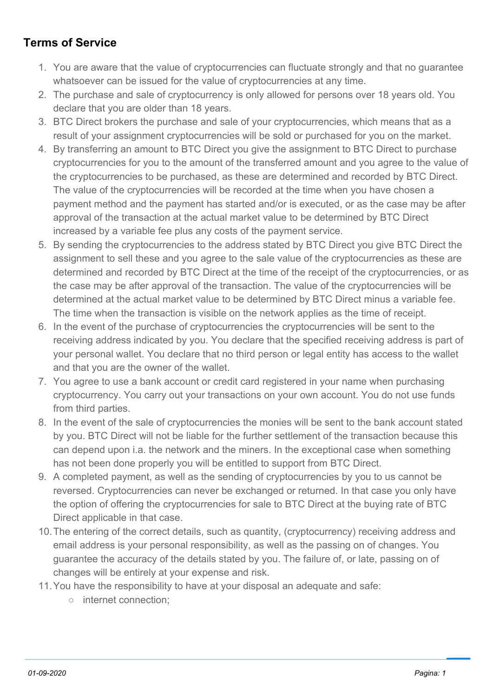## **Terms of Service**

- 1. You are aware that the value of cryptocurrencies can fluctuate strongly and that no guarantee whatsoever can be issued for the value of cryptocurrencies at any time.
- 2. The purchase and sale of cryptocurrency is only allowed for persons over 18 years old. You declare that you are older than 18 years.
- 3. BTC Direct brokers the purchase and sale of your cryptocurrencies, which means that as a result of your assignment cryptocurrencies will be sold or purchased for you on the market.
- 4. By transferring an amount to BTC Direct you give the assignment to BTC Direct to purchase cryptocurrencies for you to the amount of the transferred amount and you agree to the value of the cryptocurrencies to be purchased, as these are determined and recorded by BTC Direct. The value of the cryptocurrencies will be recorded at the time when you have chosen a payment method and the payment has started and/or is executed, or as the case may be after approval of the transaction at the actual market value to be determined by BTC Direct increased by a variable fee plus any costs of the payment service.
- 5. By sending the cryptocurrencies to the address stated by BTC Direct you give BTC Direct the assignment to sell these and you agree to the sale value of the cryptocurrencies as these are determined and recorded by BTC Direct at the time of the receipt of the cryptocurrencies, or as the case may be after approval of the transaction. The value of the cryptocurrencies will be determined at the actual market value to be determined by BTC Direct minus a variable fee. The time when the transaction is visible on the network applies as the time of receipt.
- 6. In the event of the purchase of cryptocurrencies the cryptocurrencies will be sent to the receiving address indicated by you. You declare that the specified receiving address is part of your personal wallet. You declare that no third person or legal entity has access to the wallet and that you are the owner of the wallet.
- 7. You agree to use a bank account or credit card registered in your name when purchasing cryptocurrency. You carry out your transactions on your own account. You do not use funds from third parties.
- 8. In the event of the sale of cryptocurrencies the monies will be sent to the bank account stated by you. BTC Direct will not be liable for the further settlement of the transaction because this can depend upon i.a. the network and the miners. In the exceptional case when something has not been done properly you will be entitled to support from BTC Direct.
- 9. A completed payment, as well as the sending of cryptocurrencies by you to us cannot be reversed. Cryptocurrencies can never be exchanged or returned. In that case you only have the option of offering the cryptocurrencies for sale to BTC Direct at the buying rate of BTC Direct applicable in that case.
- 10.The entering of the correct details, such as quantity, (cryptocurrency) receiving address and email address is your personal responsibility, as well as the passing on of changes. You guarantee the accuracy of the details stated by you. The failure of, or late, passing on of changes will be entirely at your expense and risk.
- 11.You have the responsibility to have at your disposal an adequate and safe:
	- internet connection;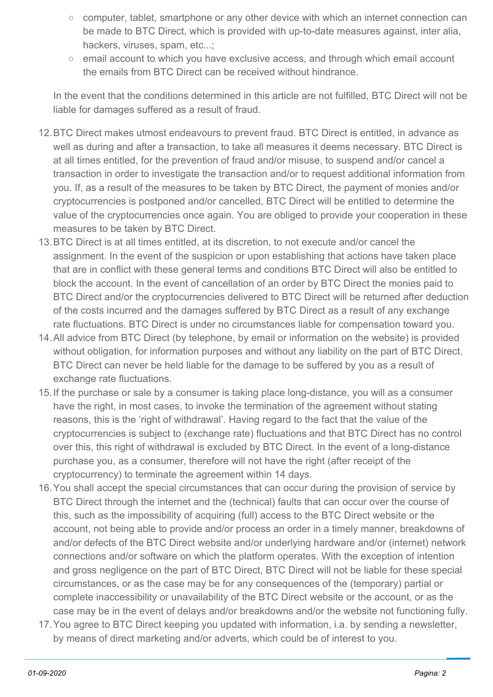- computer, tablet, smartphone or any other device with which an internet connection can be made to BTC Direct, which is provided with up-to-date measures against, inter alia, hackers, viruses, spam, etc...;
- email account to which you have exclusive access, and through which email account the emails from BTC Direct can be received without hindrance.

In the event that the conditions determined in this article are not fulfilled, BTC Direct will not be liable for damages suffered as a result of fraud.

- 12.BTC Direct makes utmost endeavours to prevent fraud. BTC Direct is entitled, in advance as well as during and after a transaction, to take all measures it deems necessary. BTC Direct is at all times entitled, for the prevention of fraud and/or misuse, to suspend and/or cancel a transaction in order to investigate the transaction and/or to request additional information from you. If, as a result of the measures to be taken by BTC Direct, the payment of monies and/or cryptocurrencies is postponed and/or cancelled, BTC Direct will be entitled to determine the value of the cryptocurrencies once again. You are obliged to provide your cooperation in these measures to be taken by BTC Direct.
- 13.BTC Direct is at all times entitled, at its discretion, to not execute and/or cancel the assignment. In the event of the suspicion or upon establishing that actions have taken place that are in conflict with these general terms and conditions BTC Direct will also be entitled to block the account. In the event of cancellation of an order by BTC Direct the monies paid to BTC Direct and/or the cryptocurrencies delivered to BTC Direct will be returned after deduction of the costs incurred and the damages suffered by BTC Direct as a result of any exchange rate fluctuations. BTC Direct is under no circumstances liable for compensation toward you.
- 14.All advice from BTC Direct (by telephone, by email or information on the website) is provided without obligation, for information purposes and without any liability on the part of BTC Direct. BTC Direct can never be held liable for the damage to be suffered by you as a result of exchange rate fluctuations.
- 15.If the purchase or sale by a consumer is taking place long-distance, you will as a consumer have the right, in most cases, to invoke the termination of the agreement without stating reasons, this is the 'right of withdrawal'. Having regard to the fact that the value of the cryptocurrencies is subject to (exchange rate) fluctuations and that BTC Direct has no control over this, this right of withdrawal is excluded by BTC Direct. In the event of a long-distance purchase you, as a consumer, therefore will not have the right (after receipt of the cryptocurrency) to terminate the agreement within 14 days.
- 16.You shall accept the special circumstances that can occur during the provision of service by BTC Direct through the internet and the (technical) faults that can occur over the course of this, such as the impossibility of acquiring (full) access to the BTC Direct website or the account, not being able to provide and/or process an order in a timely manner, breakdowns of and/or defects of the BTC Direct website and/or underlying hardware and/or (internet) network connections and/or software on which the platform operates. With the exception of intention and gross negligence on the part of BTC Direct, BTC Direct will not be liable for these special circumstances, or as the case may be for any consequences of the (temporary) partial or complete inaccessibility or unavailability of the BTC Direct website or the account, or as the case may be in the event of delays and/or breakdowns and/or the website not functioning fully.
- 17.You agree to BTC Direct keeping you updated with information, i.a. by sending a newsletter, by means of direct marketing and/or adverts, which could be of interest to you.